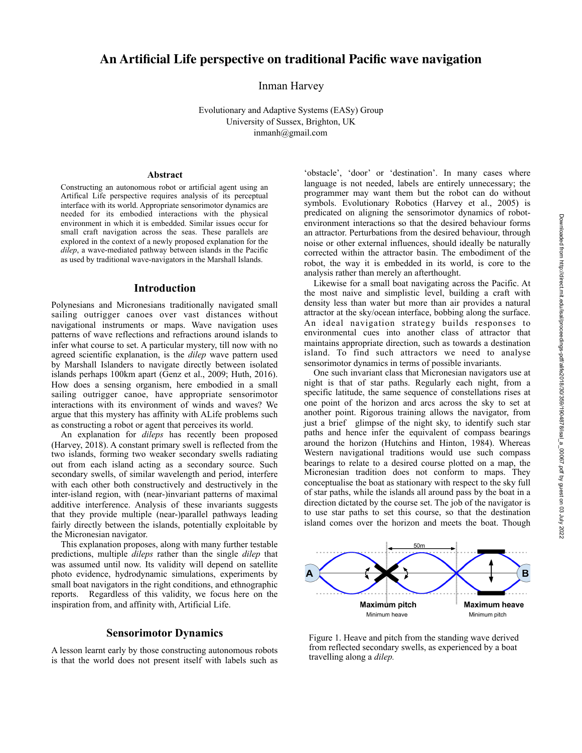# **An Artificial Life perspective on traditional Pacific wave navigation**

Inman Harvey

Evolutionary and Adaptive Systems (EASy) Group University of Sussex, Brighton, UK inmanh@gmail.com

## **Abstract**

Constructing an autonomous robot or artificial agent using an Artifical Life perspective requires analysis of its perceptual interface with its world. Appropriate sensorimotor dynamics are needed for its embodied interactions with the physical environment in which it is embedded. Similar issues occur for small craft navigation across the seas. These parallels are explored in the context of a newly proposed explanation for the *dilep*, a wave-mediated pathway between islands in the Pacific as used by traditional wave-navigators in the Marshall Islands.

## **Introduction**

Polynesians and Micronesians traditionally navigated small sailing outrigger canoes over vast distances without navigational instruments or maps. Wave navigation uses patterns of wave reflections and refractions around islands to infer what course to set. A particular mystery, till now with no agreed scientific explanation, is the *dilep* wave pattern used by Marshall Islanders to navigate directly between isolated islands perhaps 100km apart (Genz et al., 2009; Huth, 2016). How does a sensing organism, here embodied in a small sailing outrigger canoe, have appropriate sensorimotor interactions with its environment of winds and waves? We argue that this mystery has affinity with ALife problems such as constructing a robot or agent that perceives its world.

 An explanation for *dileps* has recently been proposed (Harvey, 2018). A constant primary swell is reflected from the two islands, forming two weaker secondary swells radiating out from each island acting as a secondary source. Such secondary swells, of similar wavelength and period, interfere with each other both constructively and destructively in the inter-island region, with (near-)invariant patterns of maximal additive interference. Analysis of these invariants suggests that they provide multiple (near-)parallel pathways leading fairly directly between the islands, potentially exploitable by the Micronesian navigator.

 This explanation proposes, along with many further testable predictions, multiple *dileps* rather than the single *dilep* that was assumed until now. Its validity will depend on satellite photo evidence, hydrodynamic simulations, experiments by small boat navigators in the right conditions, and ethnographic reports. Regardless of this validity, we focus here on the inspiration from, and affinity with, Artificial Life.

# **Sensorimotor Dynamics**

A lesson learnt early by those constructing autonomous robots is that the world does not present itself with labels such as

'obstacle', 'door' or 'destination'. In many cases where language is not needed, labels are entirely unnecessary; the programmer may want them but the robot can do without symbols. Evolutionary Robotics (Harvey et al., 2005) is predicated on aligning the sensorimotor dynamics of robotenvironment interactions so that the desired behaviour forms an attractor. Perturbations from the desired behaviour, through noise or other external influences, should ideally be naturally corrected within the attractor basin. The embodiment of the robot, the way it is embedded in its world, is core to the analysis rather than merely an afterthought.

 Likewise for a small boat navigating across the Pacific. At the most naive and simplistic level, building a craft with density less than water but more than air provides a natural attractor at the sky/ocean interface, bobbing along the surface. An ideal navigation strategy builds responses to environmental cues into another class of attractor that maintains appropriate direction, such as towards a destination island. To find such attractors we need to analyse sensorimotor dynamics in terms of possible invariants.

 One such invariant class that Micronesian navigators use at night is that of star paths. Regularly each night, from a specific latitude, the same sequence of constellations rises at one point of the horizon and arcs across the sky to set at another point. Rigorous training allows the navigator, from just a brief glimpse of the night sky, to identify such star paths and hence infer the equivalent of compass bearings around the horizon (Hutchins and Hinton, 1984). Whereas Western navigational traditions would use such compass bearings to relate to a desired course plotted on a map, the Micronesian tradition does not conform to maps. They conceptualise the boat as stationary with respect to the sky full of star paths, while the islands all around pass by the boat in a direction dictated by the course set. The job of the navigator is to use star paths to set this course, so that the destination island comes over the horizon and meets the boat. Though



Figure 1. Heave and pitch from the standing wave derived from reflected secondary swells, as experienced by a boat travelling along a *dilep.*